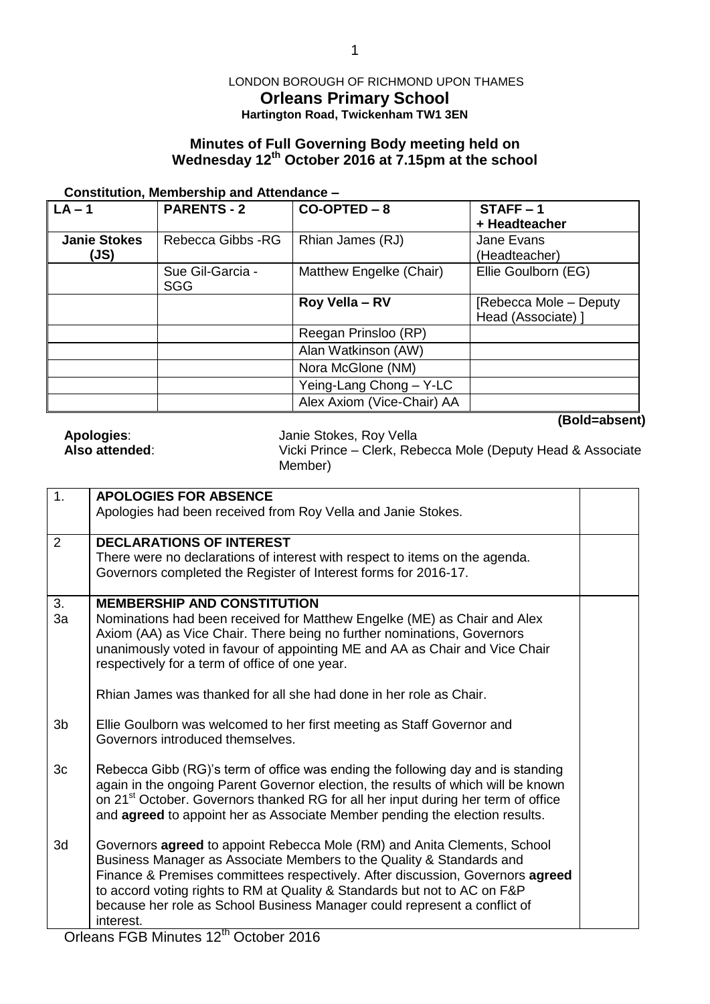## LONDON BOROUGH OF RICHMOND UPON THAMES **Orleans Primary School Hartington Road, Twickenham TW1 3EN**

# **Minutes of Full Governing Body meeting held on Wednesday 12th October 2016 at 7.15pm at the school**

#### **Constitution, Membership and Attendance –**

| $LA - 1$                    | <b>PARENTS - 2</b>             | $CO-OPTED - 8$             | $STATE - 1$<br>+ Headteacher                 |
|-----------------------------|--------------------------------|----------------------------|----------------------------------------------|
| <b>Janie Stokes</b><br>(JS) | Rebecca Gibbs - RG             | Rhian James (RJ)           | Jane Evans<br>(Headteacher)                  |
|                             | Sue Gil-Garcia -<br><b>SGG</b> | Matthew Engelke (Chair)    | Ellie Goulborn (EG)                          |
|                             |                                | Roy Vella - RV             | [Rebecca Mole – Deputy<br>Head (Associate) ] |
|                             |                                | Reegan Prinsloo (RP)       |                                              |
|                             |                                | Alan Watkinson (AW)        |                                              |
|                             |                                | Nora McGlone (NM)          |                                              |
|                             |                                | Yeing-Lang Chong - Y-LC    |                                              |
|                             |                                | Alex Axiom (Vice-Chair) AA |                                              |

**(Bold=absent)**

**Apologies:** Janie Stokes, Roy Vella<br> **Also attended:** Vicki Prince – Clerk, Reb

**Also attended**: Vicki Prince – Clerk, Rebecca Mole (Deputy Head & Associate Member)

| <b>APOLOGIES FOR ABSENCE</b>                                                      |                                                                                                                                                                                                                                                                                                                                                                                                                                                                                                                                                                                                                                                                                                                                                                                                                                                           |
|-----------------------------------------------------------------------------------|-----------------------------------------------------------------------------------------------------------------------------------------------------------------------------------------------------------------------------------------------------------------------------------------------------------------------------------------------------------------------------------------------------------------------------------------------------------------------------------------------------------------------------------------------------------------------------------------------------------------------------------------------------------------------------------------------------------------------------------------------------------------------------------------------------------------------------------------------------------|
| Apologies had been received from Roy Vella and Janie Stokes.                      |                                                                                                                                                                                                                                                                                                                                                                                                                                                                                                                                                                                                                                                                                                                                                                                                                                                           |
| <b>DECLARATIONS OF INTEREST</b>                                                   |                                                                                                                                                                                                                                                                                                                                                                                                                                                                                                                                                                                                                                                                                                                                                                                                                                                           |
| There were no declarations of interest with respect to items on the agenda.       |                                                                                                                                                                                                                                                                                                                                                                                                                                                                                                                                                                                                                                                                                                                                                                                                                                                           |
|                                                                                   |                                                                                                                                                                                                                                                                                                                                                                                                                                                                                                                                                                                                                                                                                                                                                                                                                                                           |
| <b>MEMBERSHIP AND CONSTITUTION</b>                                                |                                                                                                                                                                                                                                                                                                                                                                                                                                                                                                                                                                                                                                                                                                                                                                                                                                                           |
| Nominations had been received for Matthew Engelke (ME) as Chair and Alex          |                                                                                                                                                                                                                                                                                                                                                                                                                                                                                                                                                                                                                                                                                                                                                                                                                                                           |
|                                                                                   |                                                                                                                                                                                                                                                                                                                                                                                                                                                                                                                                                                                                                                                                                                                                                                                                                                                           |
|                                                                                   |                                                                                                                                                                                                                                                                                                                                                                                                                                                                                                                                                                                                                                                                                                                                                                                                                                                           |
|                                                                                   |                                                                                                                                                                                                                                                                                                                                                                                                                                                                                                                                                                                                                                                                                                                                                                                                                                                           |
| Rhian James was thanked for all she had done in her role as Chair.                |                                                                                                                                                                                                                                                                                                                                                                                                                                                                                                                                                                                                                                                                                                                                                                                                                                                           |
|                                                                                   |                                                                                                                                                                                                                                                                                                                                                                                                                                                                                                                                                                                                                                                                                                                                                                                                                                                           |
| Governors introduced themselves.                                                  |                                                                                                                                                                                                                                                                                                                                                                                                                                                                                                                                                                                                                                                                                                                                                                                                                                                           |
| Rebecca Gibb (RG)'s term of office was ending the following day and is standing   |                                                                                                                                                                                                                                                                                                                                                                                                                                                                                                                                                                                                                                                                                                                                                                                                                                                           |
| again in the ongoing Parent Governor election, the results of which will be known |                                                                                                                                                                                                                                                                                                                                                                                                                                                                                                                                                                                                                                                                                                                                                                                                                                                           |
|                                                                                   |                                                                                                                                                                                                                                                                                                                                                                                                                                                                                                                                                                                                                                                                                                                                                                                                                                                           |
|                                                                                   |                                                                                                                                                                                                                                                                                                                                                                                                                                                                                                                                                                                                                                                                                                                                                                                                                                                           |
| Governors <b>agreed</b> to appoint Rebecca Mole (RM) and Anita Clements, School   |                                                                                                                                                                                                                                                                                                                                                                                                                                                                                                                                                                                                                                                                                                                                                                                                                                                           |
|                                                                                   |                                                                                                                                                                                                                                                                                                                                                                                                                                                                                                                                                                                                                                                                                                                                                                                                                                                           |
|                                                                                   |                                                                                                                                                                                                                                                                                                                                                                                                                                                                                                                                                                                                                                                                                                                                                                                                                                                           |
|                                                                                   |                                                                                                                                                                                                                                                                                                                                                                                                                                                                                                                                                                                                                                                                                                                                                                                                                                                           |
| interest.                                                                         |                                                                                                                                                                                                                                                                                                                                                                                                                                                                                                                                                                                                                                                                                                                                                                                                                                                           |
|                                                                                   | Governors completed the Register of Interest forms for 2016-17.<br>Axiom (AA) as Vice Chair. There being no further nominations, Governors<br>unanimously voted in favour of appointing ME and AA as Chair and Vice Chair<br>respectively for a term of office of one year.<br>Ellie Goulborn was welcomed to her first meeting as Staff Governor and<br>on 21 <sup>st</sup> October. Governors thanked RG for all her input during her term of office<br>and agreed to appoint her as Associate Member pending the election results.<br>Business Manager as Associate Members to the Quality & Standards and<br>Finance & Premises committees respectively. After discussion, Governors agreed<br>to accord voting rights to RM at Quality & Standards but not to AC on F&P<br>because her role as School Business Manager could represent a conflict of |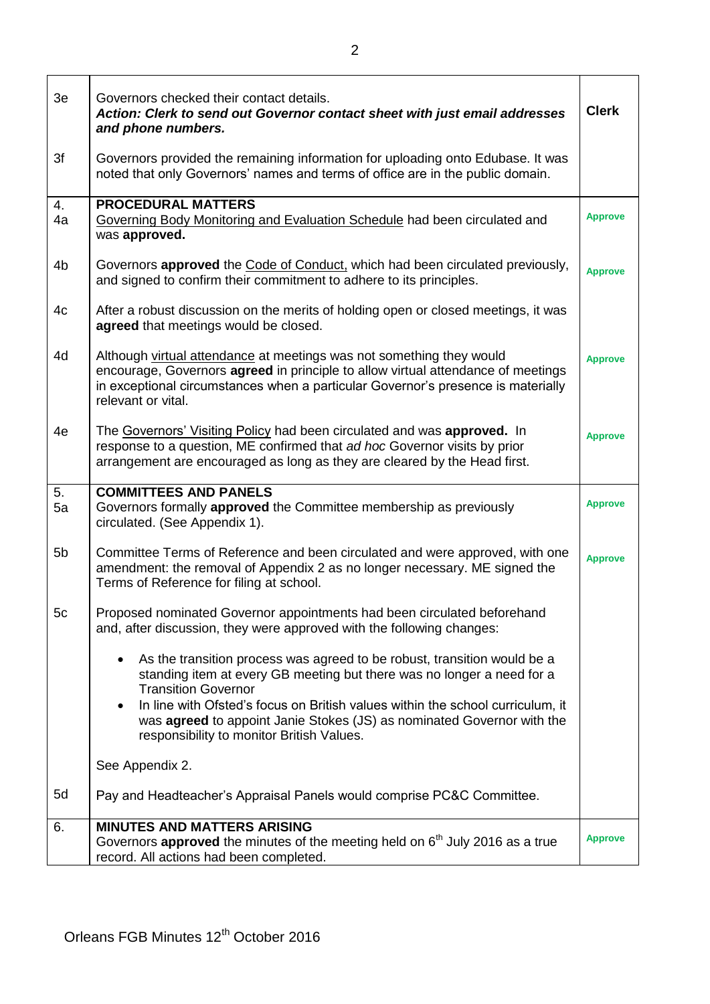| 3e             | Governors checked their contact details.<br>Action: Clerk to send out Governor contact sheet with just email addresses<br>and phone numbers.                                                                                                                                                                                                                                                                        | <b>Clerk</b>   |
|----------------|---------------------------------------------------------------------------------------------------------------------------------------------------------------------------------------------------------------------------------------------------------------------------------------------------------------------------------------------------------------------------------------------------------------------|----------------|
| 3f             | Governors provided the remaining information for uploading onto Edubase. It was<br>noted that only Governors' names and terms of office are in the public domain.                                                                                                                                                                                                                                                   |                |
| 4.<br>4a       | <b>PROCEDURAL MATTERS</b><br>Governing Body Monitoring and Evaluation Schedule had been circulated and<br>was approved.                                                                                                                                                                                                                                                                                             | <b>Approve</b> |
| 4b             | Governors <b>approved</b> the <b>Code of Conduct</b> , which had been circulated previously,<br>and signed to confirm their commitment to adhere to its principles.                                                                                                                                                                                                                                                 | <b>Approve</b> |
| 4c             | After a robust discussion on the merits of holding open or closed meetings, it was<br>agreed that meetings would be closed.                                                                                                                                                                                                                                                                                         |                |
| 4d             | Although virtual attendance at meetings was not something they would<br>encourage, Governors agreed in principle to allow virtual attendance of meetings<br>in exceptional circumstances when a particular Governor's presence is materially<br>relevant or vital.                                                                                                                                                  | <b>Approve</b> |
| 4e             | The Governors' Visiting Policy had been circulated and was approved. In<br>response to a question, ME confirmed that ad hoc Governor visits by prior<br>arrangement are encouraged as long as they are cleared by the Head first.                                                                                                                                                                                   | <b>Approve</b> |
| 5.<br>5a       | <b>COMMITTEES AND PANELS</b><br>Governors formally approved the Committee membership as previously<br>circulated. (See Appendix 1).                                                                                                                                                                                                                                                                                 | <b>Approve</b> |
| 5 <sub>b</sub> | Committee Terms of Reference and been circulated and were approved, with one<br>amendment: the removal of Appendix 2 as no longer necessary. ME signed the<br>Terms of Reference for filing at school.                                                                                                                                                                                                              | <b>Approve</b> |
| 5c             | Proposed nominated Governor appointments had been circulated beforehand<br>and, after discussion, they were approved with the following changes:                                                                                                                                                                                                                                                                    |                |
|                | As the transition process was agreed to be robust, transition would be a<br>$\bullet$<br>standing item at every GB meeting but there was no longer a need for a<br><b>Transition Governor</b><br>In line with Ofsted's focus on British values within the school curriculum, it<br>$\bullet$<br>was agreed to appoint Janie Stokes (JS) as nominated Governor with the<br>responsibility to monitor British Values. |                |
|                | See Appendix 2.                                                                                                                                                                                                                                                                                                                                                                                                     |                |
| 5d             | Pay and Headteacher's Appraisal Panels would comprise PC&C Committee.                                                                                                                                                                                                                                                                                                                                               |                |
| 6.             | <b>MINUTES AND MATTERS ARISING</b><br>Governors approved the minutes of the meeting held on 6 <sup>th</sup> July 2016 as a true<br>record. All actions had been completed.                                                                                                                                                                                                                                          | <b>Approve</b> |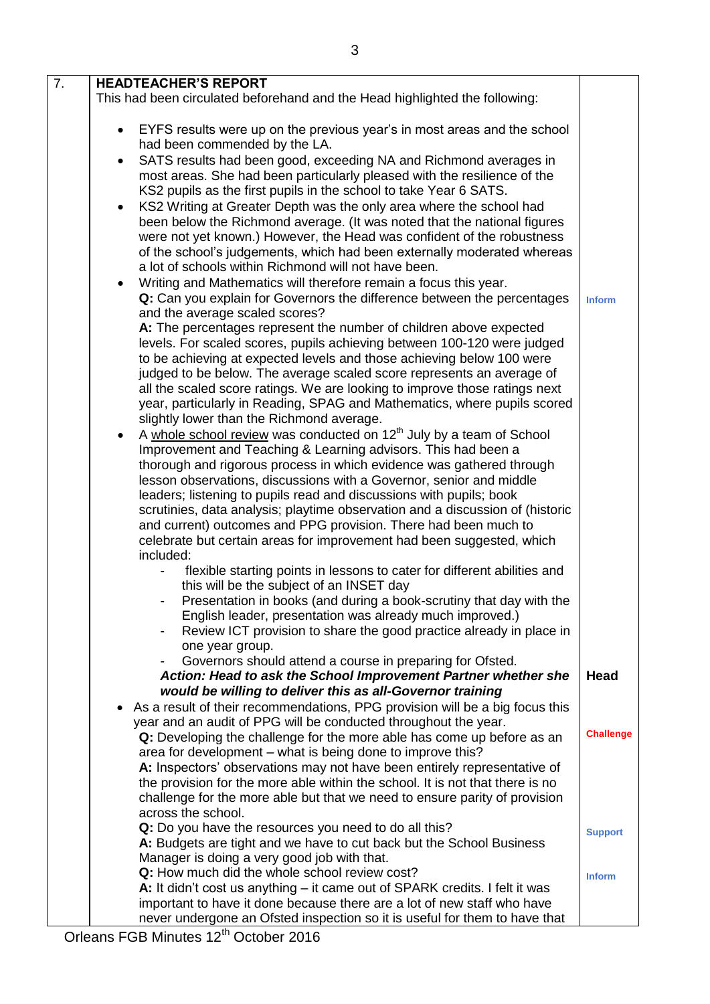| $\overline{7}$ . | <b>HEADTEACHER'S REPORT</b>                                                                                                                          |                  |
|------------------|------------------------------------------------------------------------------------------------------------------------------------------------------|------------------|
|                  | This had been circulated beforehand and the Head highlighted the following:                                                                          |                  |
|                  | EYFS results were up on the previous year's in most areas and the school<br>$\bullet$<br>had been commended by the LA.                               |                  |
|                  | SATS results had been good, exceeding NA and Richmond averages in<br>$\bullet$                                                                       |                  |
|                  | most areas. She had been particularly pleased with the resilience of the                                                                             |                  |
|                  | KS2 pupils as the first pupils in the school to take Year 6 SATS.                                                                                    |                  |
|                  | KS2 Writing at Greater Depth was the only area where the school had<br>$\bullet$                                                                     |                  |
|                  | been below the Richmond average. (It was noted that the national figures                                                                             |                  |
|                  | were not yet known.) However, the Head was confident of the robustness                                                                               |                  |
|                  | of the school's judgements, which had been externally moderated whereas                                                                              |                  |
|                  | a lot of schools within Richmond will not have been.<br>Writing and Mathematics will therefore remain a focus this year.<br>$\bullet$                |                  |
|                  | Q: Can you explain for Governors the difference between the percentages                                                                              | <b>Inform</b>    |
|                  | and the average scaled scores?                                                                                                                       |                  |
|                  | A: The percentages represent the number of children above expected                                                                                   |                  |
|                  | levels. For scaled scores, pupils achieving between 100-120 were judged                                                                              |                  |
|                  | to be achieving at expected levels and those achieving below 100 were                                                                                |                  |
|                  | judged to be below. The average scaled score represents an average of<br>all the scaled score ratings. We are looking to improve those ratings next  |                  |
|                  | year, particularly in Reading, SPAG and Mathematics, where pupils scored                                                                             |                  |
|                  | slightly lower than the Richmond average.                                                                                                            |                  |
|                  | A whole school review was conducted on 12 <sup>th</sup> July by a team of School<br>$\bullet$                                                        |                  |
|                  | Improvement and Teaching & Learning advisors. This had been a                                                                                        |                  |
|                  | thorough and rigorous process in which evidence was gathered through                                                                                 |                  |
|                  | lesson observations, discussions with a Governor, senior and middle                                                                                  |                  |
|                  | leaders; listening to pupils read and discussions with pupils; book<br>scrutinies, data analysis; playtime observation and a discussion of (historic |                  |
|                  | and current) outcomes and PPG provision. There had been much to                                                                                      |                  |
|                  | celebrate but certain areas for improvement had been suggested, which                                                                                |                  |
|                  | included:                                                                                                                                            |                  |
|                  | flexible starting points in lessons to cater for different abilities and<br>$\blacksquare$                                                           |                  |
|                  | this will be the subject of an INSET day                                                                                                             |                  |
|                  | Presentation in books (and during a book-scrutiny that day with the<br>English leader, presentation was already much improved.)                      |                  |
|                  | Review ICT provision to share the good practice already in place in                                                                                  |                  |
|                  | one year group.                                                                                                                                      |                  |
|                  | Governors should attend a course in preparing for Ofsted.                                                                                            |                  |
|                  | Action: Head to ask the School Improvement Partner whether she                                                                                       | <b>Head</b>      |
|                  | would be willing to deliver this as all-Governor training<br>As a result of their recommendations, PPG provision will be a big focus this            |                  |
|                  | year and an audit of PPG will be conducted throughout the year.                                                                                      |                  |
|                  | Q: Developing the challenge for the more able has come up before as an                                                                               | <b>Challenge</b> |
|                  | area for development - what is being done to improve this?                                                                                           |                  |
|                  | A: Inspectors' observations may not have been entirely representative of                                                                             |                  |
|                  | the provision for the more able within the school. It is not that there is no                                                                        |                  |
|                  | challenge for the more able but that we need to ensure parity of provision<br>across the school.                                                     |                  |
|                  | Q: Do you have the resources you need to do all this?                                                                                                |                  |
|                  | A: Budgets are tight and we have to cut back but the School Business                                                                                 | <b>Support</b>   |
|                  | Manager is doing a very good job with that.                                                                                                          |                  |
|                  | Q: How much did the whole school review cost?                                                                                                        | <b>Inform</b>    |
|                  | A: It didn't cost us anything – it came out of SPARK credits. I felt it was                                                                          |                  |
|                  | important to have it done because there are a lot of new staff who have                                                                              |                  |
|                  | never undergone an Ofsted inspection so it is useful for them to have that                                                                           |                  |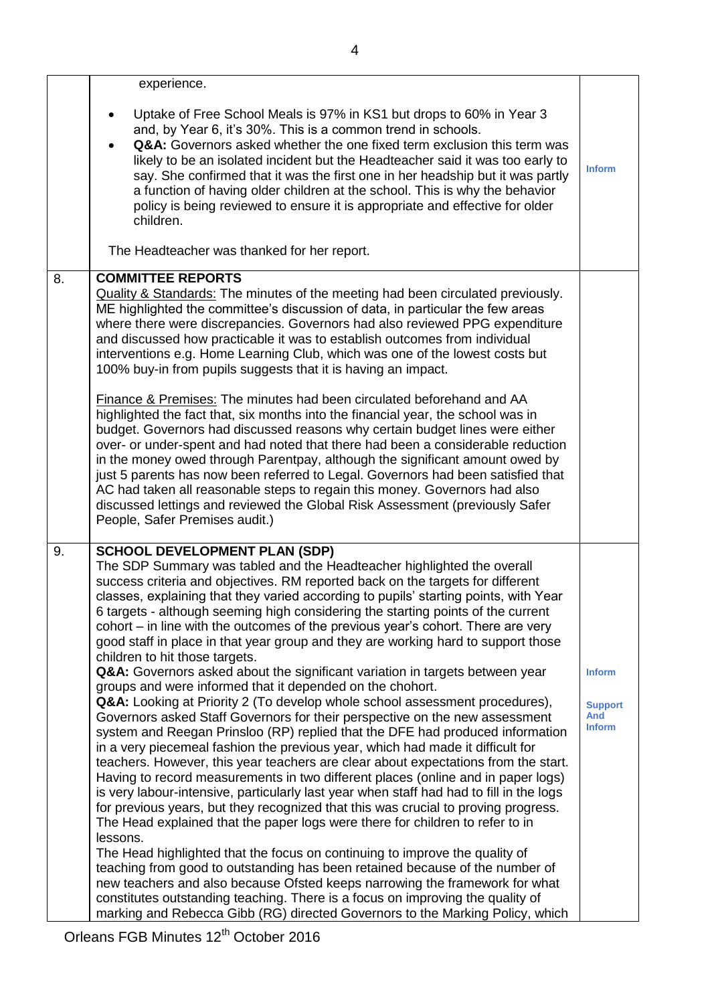|    | experience.                                                                                                                                                                                                                                                                                                                                                                                                                                                                                                                                                                                                                                                                                                                                                                                                                                                                                                                                                                                                                                                                                                                                                                                                                                                                                                                                                                                                                                                                                                                                                                                                                                                                                                                                                                                                                                                                                                                                    |                                                  |
|----|------------------------------------------------------------------------------------------------------------------------------------------------------------------------------------------------------------------------------------------------------------------------------------------------------------------------------------------------------------------------------------------------------------------------------------------------------------------------------------------------------------------------------------------------------------------------------------------------------------------------------------------------------------------------------------------------------------------------------------------------------------------------------------------------------------------------------------------------------------------------------------------------------------------------------------------------------------------------------------------------------------------------------------------------------------------------------------------------------------------------------------------------------------------------------------------------------------------------------------------------------------------------------------------------------------------------------------------------------------------------------------------------------------------------------------------------------------------------------------------------------------------------------------------------------------------------------------------------------------------------------------------------------------------------------------------------------------------------------------------------------------------------------------------------------------------------------------------------------------------------------------------------------------------------------------------------|--------------------------------------------------|
|    | Uptake of Free School Meals is 97% in KS1 but drops to 60% in Year 3<br>and, by Year 6, it's 30%. This is a common trend in schools.<br>Q&A: Governors asked whether the one fixed term exclusion this term was<br>likely to be an isolated incident but the Headteacher said it was too early to<br>say. She confirmed that it was the first one in her headship but it was partly<br>a function of having older children at the school. This is why the behavior<br>policy is being reviewed to ensure it is appropriate and effective for older<br>children.<br>The Headteacher was thanked for her report.                                                                                                                                                                                                                                                                                                                                                                                                                                                                                                                                                                                                                                                                                                                                                                                                                                                                                                                                                                                                                                                                                                                                                                                                                                                                                                                                 | <b>Inform</b>                                    |
|    |                                                                                                                                                                                                                                                                                                                                                                                                                                                                                                                                                                                                                                                                                                                                                                                                                                                                                                                                                                                                                                                                                                                                                                                                                                                                                                                                                                                                                                                                                                                                                                                                                                                                                                                                                                                                                                                                                                                                                |                                                  |
| 8. | <b>COMMITTEE REPORTS</b><br><b>Quality &amp; Standards:</b> The minutes of the meeting had been circulated previously.<br>ME highlighted the committee's discussion of data, in particular the few areas<br>where there were discrepancies. Governors had also reviewed PPG expenditure<br>and discussed how practicable it was to establish outcomes from individual<br>interventions e.g. Home Learning Club, which was one of the lowest costs but<br>100% buy-in from pupils suggests that it is having an impact.<br>Finance & Premises: The minutes had been circulated beforehand and AA<br>highlighted the fact that, six months into the financial year, the school was in<br>budget. Governors had discussed reasons why certain budget lines were either<br>over- or under-spent and had noted that there had been a considerable reduction<br>in the money owed through Parentpay, although the significant amount owed by<br>just 5 parents has now been referred to Legal. Governors had been satisfied that<br>AC had taken all reasonable steps to regain this money. Governors had also<br>discussed lettings and reviewed the Global Risk Assessment (previously Safer<br>People, Safer Premises audit.)                                                                                                                                                                                                                                                                                                                                                                                                                                                                                                                                                                                                                                                                                                                     |                                                  |
| 9. | <b>SCHOOL DEVELOPMENT PLAN (SDP)</b><br>The SDP Summary was tabled and the Headteacher highlighted the overall<br>success criteria and objectives. RM reported back on the targets for different<br>classes, explaining that they varied according to pupils' starting points, with Year<br>6 targets - although seeming high considering the starting points of the current<br>cohort – in line with the outcomes of the previous year's cohort. There are very<br>good staff in place in that year group and they are working hard to support those<br>children to hit those targets.<br>Q&A: Governors asked about the significant variation in targets between year<br>groups and were informed that it depended on the chohort.<br>Q&A: Looking at Priority 2 (To develop whole school assessment procedures),<br>Governors asked Staff Governors for their perspective on the new assessment<br>system and Reegan Prinsloo (RP) replied that the DFE had produced information<br>in a very piecemeal fashion the previous year, which had made it difficult for<br>teachers. However, this year teachers are clear about expectations from the start.<br>Having to record measurements in two different places (online and in paper logs)<br>is very labour-intensive, particularly last year when staff had had to fill in the logs<br>for previous years, but they recognized that this was crucial to proving progress.<br>The Head explained that the paper logs were there for children to refer to in<br>lessons.<br>The Head highlighted that the focus on continuing to improve the quality of<br>teaching from good to outstanding has been retained because of the number of<br>new teachers and also because Ofsted keeps narrowing the framework for what<br>constitutes outstanding teaching. There is a focus on improving the quality of<br>marking and Rebecca Gibb (RG) directed Governors to the Marking Policy, which | <b>Inform</b><br><b>Support</b><br>And<br>Inform |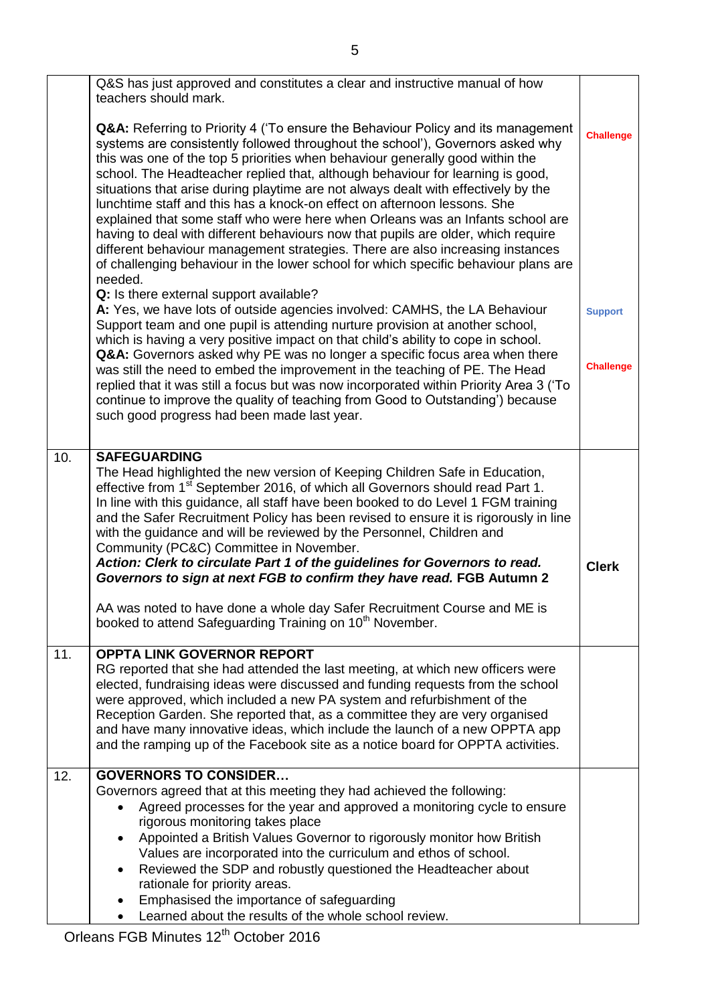|     | Q&S has just approved and constitutes a clear and instructive manual of how<br>teachers should mark.                                                                                                                                                                                                                                                                                                                                                                                                                                                                                                                                                                                                                                                                                                                                                                          |                  |
|-----|-------------------------------------------------------------------------------------------------------------------------------------------------------------------------------------------------------------------------------------------------------------------------------------------------------------------------------------------------------------------------------------------------------------------------------------------------------------------------------------------------------------------------------------------------------------------------------------------------------------------------------------------------------------------------------------------------------------------------------------------------------------------------------------------------------------------------------------------------------------------------------|------------------|
|     | <b>Q&amp;A:</b> Referring to Priority 4 ('To ensure the Behaviour Policy and its management<br>systems are consistently followed throughout the school'), Governors asked why<br>this was one of the top 5 priorities when behaviour generally good within the<br>school. The Headteacher replied that, although behaviour for learning is good,<br>situations that arise during playtime are not always dealt with effectively by the<br>lunchtime staff and this has a knock-on effect on afternoon lessons. She<br>explained that some staff who were here when Orleans was an Infants school are<br>having to deal with different behaviours now that pupils are older, which require<br>different behaviour management strategies. There are also increasing instances<br>of challenging behaviour in the lower school for which specific behaviour plans are<br>needed. | <b>Challenge</b> |
|     | Q: Is there external support available?<br>A: Yes, we have lots of outside agencies involved: CAMHS, the LA Behaviour<br>Support team and one pupil is attending nurture provision at another school,<br>which is having a very positive impact on that child's ability to cope in school.                                                                                                                                                                                                                                                                                                                                                                                                                                                                                                                                                                                    | <b>Support</b>   |
|     | Q&A: Governors asked why PE was no longer a specific focus area when there<br>was still the need to embed the improvement in the teaching of PE. The Head<br>replied that it was still a focus but was now incorporated within Priority Area 3 ('To<br>continue to improve the quality of teaching from Good to Outstanding') because<br>such good progress had been made last year.                                                                                                                                                                                                                                                                                                                                                                                                                                                                                          | <b>Challenge</b> |
| 10. | <b>SAFEGUARDING</b>                                                                                                                                                                                                                                                                                                                                                                                                                                                                                                                                                                                                                                                                                                                                                                                                                                                           |                  |
|     | The Head highlighted the new version of Keeping Children Safe in Education,<br>effective from 1 <sup>st</sup> September 2016, of which all Governors should read Part 1.<br>In line with this guidance, all staff have been booked to do Level 1 FGM training<br>and the Safer Recruitment Policy has been revised to ensure it is rigorously in line<br>with the guidance and will be reviewed by the Personnel, Children and<br>Community (PC&C) Committee in November.                                                                                                                                                                                                                                                                                                                                                                                                     |                  |
|     | Action: Clerk to circulate Part 1 of the guidelines for Governors to read.<br>Governors to sign at next FGB to confirm they have read. FGB Autumn 2                                                                                                                                                                                                                                                                                                                                                                                                                                                                                                                                                                                                                                                                                                                           | <b>Clerk</b>     |
|     | AA was noted to have done a whole day Safer Recruitment Course and ME is<br>booked to attend Safeguarding Training on 10 <sup>th</sup> November.                                                                                                                                                                                                                                                                                                                                                                                                                                                                                                                                                                                                                                                                                                                              |                  |
| 11. | <b>OPPTA LINK GOVERNOR REPORT</b><br>RG reported that she had attended the last meeting, at which new officers were<br>elected, fundraising ideas were discussed and funding requests from the school<br>were approved, which included a new PA system and refurbishment of the<br>Reception Garden. She reported that, as a committee they are very organised<br>and have many innovative ideas, which include the launch of a new OPPTA app<br>and the ramping up of the Facebook site as a notice board for OPPTA activities.                                                                                                                                                                                                                                                                                                                                              |                  |
| 12. | <b>GOVERNORS TO CONSIDER</b>                                                                                                                                                                                                                                                                                                                                                                                                                                                                                                                                                                                                                                                                                                                                                                                                                                                  |                  |
|     | Governors agreed that at this meeting they had achieved the following:<br>Agreed processes for the year and approved a monitoring cycle to ensure<br>rigorous monitoring takes place<br>Appointed a British Values Governor to rigorously monitor how British<br>$\bullet$<br>Values are incorporated into the curriculum and ethos of school.<br>Reviewed the SDP and robustly questioned the Headteacher about<br>$\bullet$                                                                                                                                                                                                                                                                                                                                                                                                                                                 |                  |
|     | rationale for priority areas.                                                                                                                                                                                                                                                                                                                                                                                                                                                                                                                                                                                                                                                                                                                                                                                                                                                 |                  |
|     | Emphasised the importance of safeguarding<br>Learned about the results of the whole school review.                                                                                                                                                                                                                                                                                                                                                                                                                                                                                                                                                                                                                                                                                                                                                                            |                  |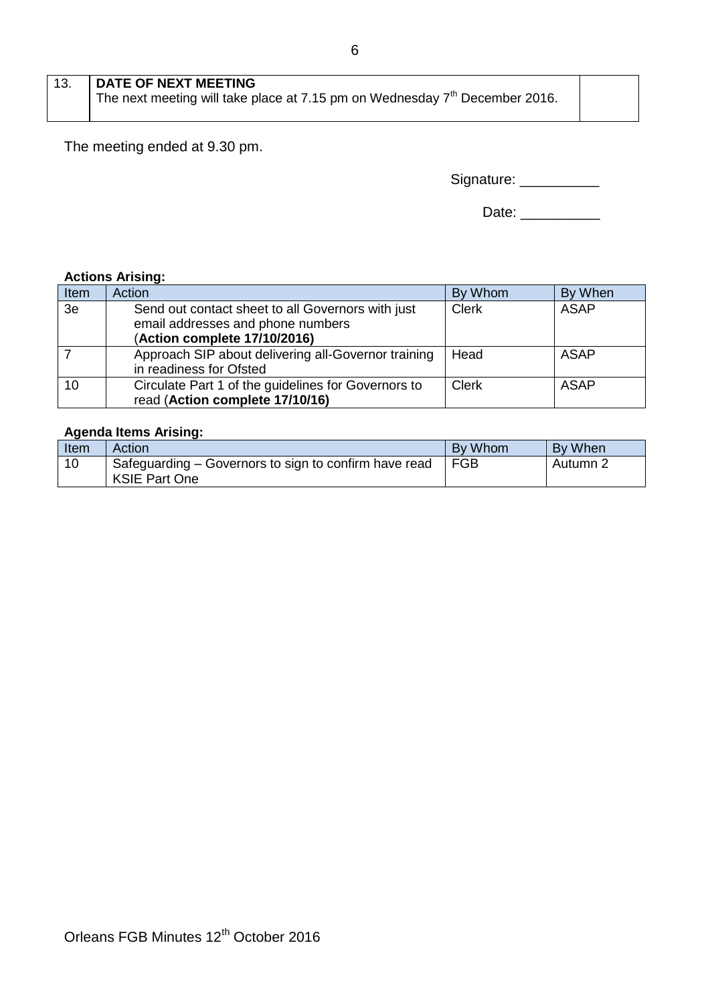The meeting ended at 9.30 pm.

| Signature: |  |
|------------|--|
|------------|--|

## **Actions Arising:**

| Item | Action                                                                                                                 | By Whom      | By When     |
|------|------------------------------------------------------------------------------------------------------------------------|--------------|-------------|
| 3e   | Send out contact sheet to all Governors with just<br>email addresses and phone numbers<br>(Action complete 17/10/2016) | <b>Clerk</b> | <b>ASAP</b> |
|      | Approach SIP about delivering all-Governor training<br>in readiness for Ofsted                                         | Head         | ASAP        |
| 10   | Circulate Part 1 of the guidelines for Governors to<br>read (Action complete 17/10/16)                                 | <b>Clerk</b> | <b>ASAP</b> |

## **Agenda Items Arising:**

| <b>Item</b> | Action                                                                        | By Whom | By When  |
|-------------|-------------------------------------------------------------------------------|---------|----------|
| 10          | Safeguarding – Governors to sign to confirm have read<br><b>KSIE Part One</b> | FGB     | Autumn 2 |